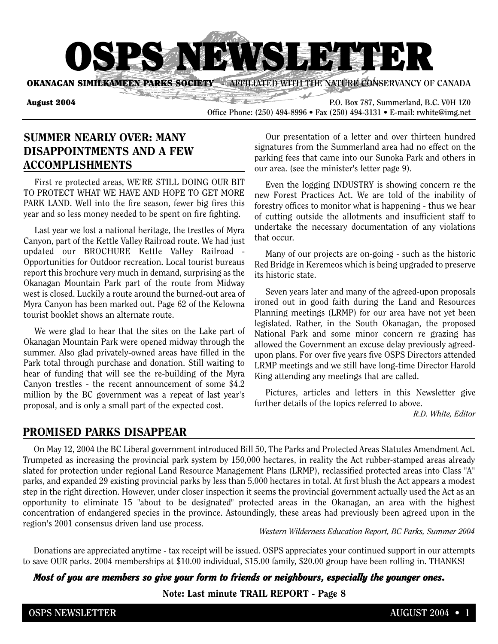

**OKANAGAN SIMILKAMEEN PARKS SOCIETY • AFFILIATED WITH THE NATURE CONSERVANCY OF CANADA** 

**August 2004 P.O. Box 787, Summerland, B.C. V0H 1Z0 Office Phone: (250) 494-8996 • Fax (250) 494-3131 • E-mail: rwhite@img.net**

**Sold** 

## **SUMMER NEARLY OVER: MANY DISAPPOINTMENTS AND A FEW ACCOMPLISHMENTS**

First re protected areas, WE'RE STILL DOING OUR BIT TO PROTECT WHAT WE HAVE AND HOPE TO GET MORE PARK LAND. Well into the fire season, fewer big fires this year and so less money needed to be spent on fire fighting.

Last year we lost a national heritage, the trestles of Myra Canyon, part of the Kettle Valley Railroad route. We had just updated our BROCHURE Kettle Valley Railroad - Opportunities for Outdoor recreation. Local tourist bureaus report this brochure very much in demand, surprising as the Okanagan Mountain Park part of the route from Midway west is closed. Luckily a route around the burned-out area of Myra Canyon has been marked out. Page 62 of the Kelowna tourist booklet shows an alternate route.

We were glad to hear that the sites on the Lake part of Okanagan Mountain Park were opened midway through the summer. Also glad privately-owned areas have filled in the Park total through purchase and donation. Still waiting to hear of funding that will see the re-building of the Myra Canyon trestles - the recent announcement of some \$4.2 million by the BC government was a repeat of last year's proposal, and is only a small part of the expected cost.

Our presentation of a letter and over thirteen hundred signatures from the Summerland area had no effect on the parking fees that came into our Sunoka Park and others in our area. (see the minister's letter page 9).

Even the logging INDUSTRY is showing concern re the new Forest Practices Act. We are told of the inability of forestry offices to monitor what is happening - thus we hear of cutting outside the allotments and insufficient staff to undertake the necessary documentation of any violations that occur.

Many of our projects are on-going - such as the historic Red Bridge in Keremeos which is being upgraded to preserve its historic state.

Seven years later and many of the agreed-upon proposals ironed out in good faith during the Land and Resources Planning meetings (LRMP) for our area have not yet been legislated. Rather, in the South Okanagan, the proposed National Park and some minor concern re grazing has allowed the Government an excuse delay previously agreedupon plans. For over five years five OSPS Directors attended LRMP meetings and we still have long-time Director Harold King attending any meetings that are called.

Pictures, articles and letters in this Newsletter give further details of the topics referred to above.

*R.D. White, Editor*

#### **PROMISED PARKS DISAPPEAR**

On May 12, 2004 the BC Liberal government introduced Bill 50, The Parks and Protected Areas Statutes Amendment Act. Trumpeted as increasing the provincial park system by 150,000 hectares, in reality the Act rubber-stamped areas already slated for protection under regional Land Resource Management Plans (LRMP), reclassified protected areas into Class "A" parks, and expanded 29 existing provincial parks by less than 5,000 hectares in total. At first blush the Act appears a modest step in the right direction. However, under closer inspection it seems the provincial government actually used the Act as an opportunity to eliminate 15 "about to be designated" protected areas in the Okanagan, an area with the highest concentration of endangered species in the province. Astoundingly, these areas had previously been agreed upon in the region's 2001 consensus driven land use process.

*Western Wilderness Education Report, BC Parks, Summer 2004*

Donations are appreciated anytime - tax receipt will be issued. OSPS appreciates your continued support in our attempts to save OUR parks. 2004 memberships at \$10.00 individual, \$15.00 family, \$20.00 group have been rolling in. THANKS!

*Most of you are members so give your form to friends or neighbours, especially the younger ones.*

**Note: Last minute TRAIL REPORT - Page 8**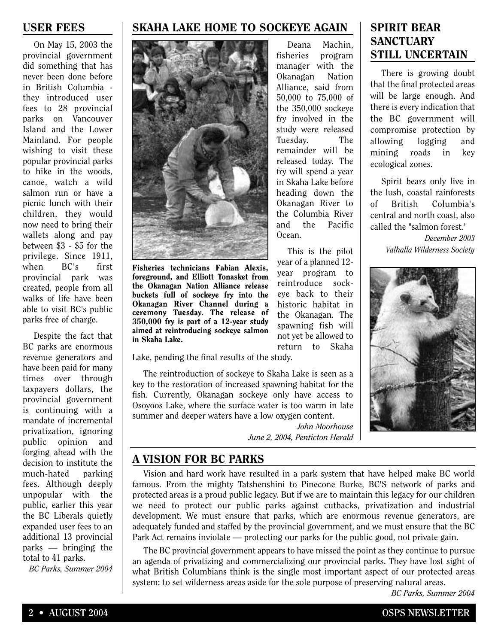### **USER FEES**

On May 15, 2003 the provincial government did something that has never been done before in British Columbia they introduced user fees to 28 provincial parks on Vancouver Island and the Lower Mainland. For people wishing to visit these popular provincial parks to hike in the woods, canoe, watch a wild salmon run or have a picnic lunch with their children, they would now need to bring their wallets along and pay between \$3 - \$5 for the privilege. Since 1911, when BC's first provincial park was created, people from all walks of life have been able to visit BC's public parks free of charge.

Despite the fact that BC parks are enormous revenue generators and have been paid for many times over through taxpayers dollars, the provincial government is continuing with a mandate of incremental privatization, ignoring public opinion and forging ahead with the decision to institute the much-hated parking fees. Although deeply unpopular with the public, earlier this year the BC Liberals quietly expanded user fees to an additional 13 provincial parks — bringing the total to 41 parks.

*BC Parks, Summer 2004*

#### **SKAHA LAKE HOME TO SOCKEYE AGAIN**



**Fisheries technicians Fabian Alexis, foreground, and Elliott Tonasket from the Okanagan Nation Alliance release buckets full of sockeye fry into the Okanagan River Channel during a ceremony Tuesday. The release of 350,000 fry is part of a 12-year study aimed at reintroducing sockeye salmon in Skaha Lake.**

Deana Machin, fisheries program manager with the Okanagan Nation Alliance, said from 50,000 to 75,000 of the 350,000 sockeye fry involved in the study were released Tuesday. The remainder will be released today. The fry will spend a year in Skaha Lake before heading down the Okanagan River to the Columbia River and the Pacific Ocean.

This is the pilot year of a planned 12 year program to reintroduce sockeye back to their historic habitat in the Okanagan. The spawning fish will not yet be allowed to return to Skaha

Lake, pending the final results of the study.

The reintroduction of sockeye to Skaha Lake is seen as a key to the restoration of increased spawning habitat for the fish. Currently, Okanagan sockeye only have access to Osoyoos Lake, where the surface water is too warm in late summer and deeper waters have a low oxygen content.

*John Moorhouse June 2, 2004, Penticton Herald*

## **SPIRIT BEAR SANCTUARY STILL UNCERTAIN**

There is growing doubt that the final protected areas will be large enough. And there is every indication that the BC government will compromise protection by allowing logging and mining roads in key ecological zones.

Spirit bears only live in the lush, coastal rainforests of British Columbia's central and north coast, also called the "salmon forest."

> *December 2003 Valhalla Wilderness Society*



**A VISION FOR BC PARKS**

Vision and hard work have resulted in a park system that have helped make BC world famous. From the mighty Tatshenshini to Pinecone Burke, BC'S network of parks and protected areas is a proud public legacy. But if we are to maintain this legacy for our children we need to protect our public parks against cutbacks, privatization and industrial development. We must ensure that parks, which are enormous revenue generators, are adequately funded and staffed by the provincial government, and we must ensure that the BC Park Act remains inviolate — protecting our parks for the public good, not private gain.

The BC provincial government appears to have missed the point as they continue to pursue an agenda of privatizing and commercializing our provincial parks. They have lost sight of what British Columbians think is the single most important aspect of our protected areas system: to set wilderness areas aside for the sole purpose of preserving natural areas.

*BC Parks, Summer 2004*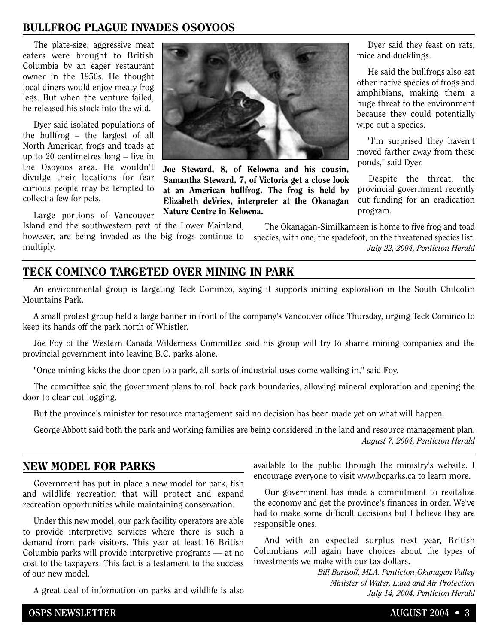## **BULLFROG PLAGUE INVADES OSOYOOS**

The plate-size, aggressive meat eaters were brought to British Columbia by an eager restaurant owner in the 1950s. He thought local diners would enjoy meaty frog legs. But when the venture failed, he released his stock into the wild.

Dyer said isolated populations of the bullfrog – the largest of all North American frogs and toads at up to 20 centimetres long – live in the Osoyoos area. He wouldn't divulge their locations for fear curious people may be tempted to collect a few for pets.

Large portions of Vancouver

multiply.

Island and the southwestern part of the Lower Mainland, however, are being invaded as the big frogs continue to



**Joe Steward, 8, of Kelowna and his cousin, Samantha Steward, 7, of Victoria get a close look at an American bullfrog. The frog is held by Elizabeth deVries, interpreter at the Okanagan Nature Centre in Kelowna.** 

Dyer said they feast on rats, mice and ducklings.

He said the bullfrogs also eat other native species of frogs and amphibians, making them a huge threat to the environment because they could potentially wipe out a species.

"I'm surprised they haven't moved farther away from these ponds," said Dyer.

Despite the threat, the provincial government recently cut funding for an eradication program.

The Okanagan-Similkameen is home to five frog and toad species, with one, the spadefoot, on the threatened species list. *July 22, 2004, Penticton Herald*

## **TECK COMINCO TARGETED OVER MINING IN PARK**

An environmental group is targeting Teck Cominco, saying it supports mining exploration in the South Chilcotin Mountains Park.

A small protest group held a large banner in front of the company's Vancouver office Thursday, urging Teck Cominco to keep its hands off the park north of Whistler.

Joe Foy of the Western Canada Wilderness Committee said his group will try to shame mining companies and the provincial government into leaving B.C. parks alone.

"Once mining kicks the door open to a park, all sorts of industrial uses come walking in," said Foy.

The committee said the government plans to roll back park boundaries, allowing mineral exploration and opening the door to clear-cut logging.

But the province's minister for resource management said no decision has been made yet on what will happen.

George Abbott said both the park and working families are being considered in the land and resource management plan. *August 7, 2004, Penticton Herald*

#### **NEW MODEL FOR PARKS**

Government has put in place a new model for park, fish and wildlife recreation that will protect and expand recreation opportunities while maintaining conservation.

Under this new model, our park facility operators are able to provide interpretive services where there is such a demand from park visitors. This year at least 16 British Columbia parks will provide interpretive programs — at no cost to the taxpayers. This fact is a testament to the success of our new model.

A great deal of information on parks and wildlife is also

available to the public through the ministry's website. I encourage everyone to visit www.bcparks.ca to learn more.

Our government has made a commitment to revitalize the economy and get the province's finances in order. We've had to make some difficult decisions but I believe they are responsible ones.

And with an expected surplus next year, British Columbians will again have choices about the types of investments we make with our tax dollars.

> *Bill Barisoff, MLA. Penticton-Okanagan Valley Minister of Water, Land and Air Protection July 14, 2004, Penticton Herald*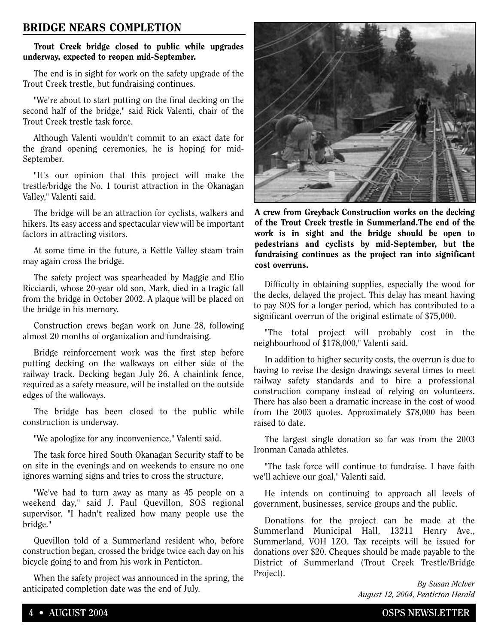## **BRIDGE NEARS COMPLETION**

#### **Trout Creek bridge closed to public while upgrades underway, expected to reopen mid-September.**

The end is in sight for work on the safety upgrade of the Trout Creek trestle, but fundraising continues.

"We're about to start putting on the final decking on the second half of the bridge," said Rick Valenti, chair of the Trout Creek trestle task force.

Although Valenti wouldn't commit to an exact date for the grand opening ceremonies, he is hoping for mid-September.

"It's our opinion that this project will make the trestle/bridge the No. 1 tourist attraction in the Okanagan Valley," Valenti said.

The bridge will be an attraction for cyclists, walkers and hikers. Its easy access and spectacular view will be important factors in attracting visitors.

At some time in the future, a Kettle Valley steam train may again cross the bridge.

The safety project was spearheaded by Maggie and Elio Ricciardi, whose 20-year old son, Mark, died in a tragic fall from the bridge in October 2002. A plaque will be placed on the bridge in his memory.

Construction crews began work on June 28, following almost 20 months of organization and fundraising.

Bridge reinforcement work was the first step before putting decking on the walkways on either side of the railway track. Decking began July 26. A chainlink fence, required as a safety measure, will be installed on the outside edges of the walkways.

The bridge has been closed to the public while construction is underway.

"We apologize for any inconvenience," Valenti said.

The task force hired South Okanagan Security staff to be on site in the evenings and on weekends to ensure no one ignores warning signs and tries to cross the structure.

"We've had to turn away as many as 45 people on a weekend day," said J. Paul Quevillon, SOS regional supervisor. "I hadn't realized how many people use the bridge."

Quevillon told of a Summerland resident who, before construction began, crossed the bridge twice each day on his bicycle going to and from his work in Penticton.

When the safety project was announced in the spring, the anticipated completion date was the end of July.



**A crew from Greyback Construction works on the decking of the Trout Creek trestle in Summerland.The end of the work is in sight and the bridge should be open to pedestrians and cyclists by mid-September, but the fundraising continues as the project ran into significant cost overruns.**

Difficulty in obtaining supplies, especially the wood for the decks, delayed the project. This delay has meant having to pay SOS for a longer period, which has contributed to a significant overrun of the original estimate of \$75,000.

"The total project will probably cost in the neighbourhood of \$178,000," Valenti said.

In addition to higher security costs, the overrun is due to having to revise the design drawings several times to meet railway safety standards and to hire a professional construction company instead of relying on volunteers. There has also been a dramatic increase in the cost of wood from the 2003 quotes. Approximately \$78,000 has been raised to date.

The largest single donation so far was from the 2003 Ironman Canada athletes.

"The task force will continue to fundraise. I have faith we'll achieve our goal," Valenti said.

He intends on continuing to approach all levels of government, businesses, service groups and the public.

Donations for the project can be made at the Summerland Municipal Hall, 13211 Henry Ave., Summerland, VOH 1ZO. Tax receipts will be issued for donations over \$20. Cheques should be made payable to the District of Summerland (Trout Creek Trestle/Bridge Project).

> *By Susan McIver August 12, 2004, Penticton Herald*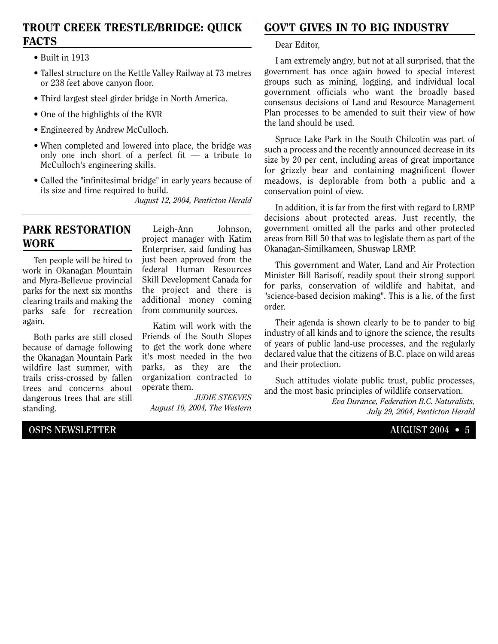## **TROUT CREEK TRESTLE/BRIDGE: QUICK FACTS**

- Built in 1913
- Tallest structure on the Kettle Valley Railway at 73 metres or 238 feet above canyon floor.
- Third largest steel girder bridge in North America.
- One of the highlights of the KVR
- Engineered by Andrew McCulloch.
- When completed and lowered into place, the bridge was only one inch short of a perfect fit  $-$  a tribute to McCulloch's engineering skills.
- Called the "infinitesimal bridge" in early years because of its size and time required to build.

*August 12, 2004, Penticton Herald*

## **PARK RESTORATION WORK**

Ten people will be hired to work in Okanagan Mountain and Myra-Bellevue provincial parks for the next six months clearing trails and making the parks safe for recreation again.

Both parks are still closed because of damage following the Okanagan Mountain Park wildfire last summer, with trails criss-crossed by fallen trees and concerns about dangerous trees that are still standing.

Leigh-Ann Johnson, project manager with Katim Enterpriser, said funding has just been approved from the federal Human Resources Skill Development Canada for the project and there is additional money coming from community sources.

Katim will work with the Friends of the South Slopes to get the work done where it's most needed in the two parks, as they are the organization contracted to operate them.

*JUDIE STEEVES August 10, 2004, The Western*

# **GOV'T GIVES IN TO BIG INDUSTRY**

Dear Editor,

I am extremely angry, but not at all surprised, that the government has once again bowed to special interest groups such as mining, logging, and individual local government officials who want the broadly based consensus decisions of Land and Resource Management Plan processes to be amended to suit their view of how the land should be used.

Spruce Lake Park in the South Chilcotin was part of such a process and the recently announced decrease in its size by 20 per cent, including areas of great importance for grizzly bear and containing magnificent flower meadows, is deplorable from both a public and a conservation point of view.

In addition, it is far from the first with regard to LRMP decisions about protected areas. Just recently, the government omitted all the parks and other protected areas from Bill 50 that was to legislate them as part of the Okanagan-Similkameen, Shuswap LRMP.

This government and Water, Land and Air Protection Minister Bill Barisoff, readily spout their strong support for parks, conservation of wildlife and habitat, and "science-based decision making". This is a lie, of the first order.

Their agenda is shown clearly to be to pander to big industry of all kinds and to ignore the science, the results of years of public land-use processes, and the regularly declared value that the citizens of B.C. place on wild areas and their protection.

Such attitudes violate public trust, public processes, and the most basic principles of wildlife conservation.

> *Eva Durance, Federation B.C. Naturalists, July 29, 2004, Penticton Herald*

#### **OSPS NEWSLETTER 4.1 AUGUST 2004 • 5**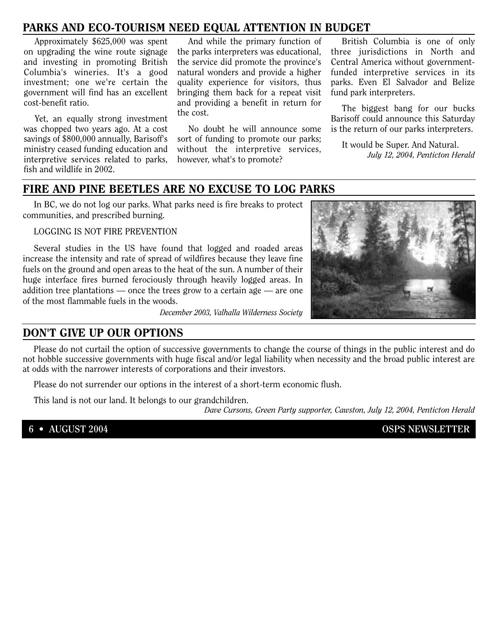## **PARKS AND ECO-TOURISM NEED EQUAL ATTENTION IN BUDGET**

Approximately \$625,000 was spent on upgrading the wine route signage and investing in promoting British Columbia's wineries. It's a good investment; one we're certain the government will find has an excellent cost-benefit ratio.

Yet, an equally strong investment was chopped two years ago. At a cost savings of \$800,000 annually, Barisoff's ministry ceased funding education and interpretive services related to parks, fish and wildlife in 2002.

And while the primary function of the parks interpreters was educational, the service did promote the province's natural wonders and provide a higher quality experience for visitors, thus bringing them back for a repeat visit and providing a benefit in return for the cost.

No doubt he will announce some sort of funding to promote our parks; without the interpretive services, however, what's to promote?

British Columbia is one of only three jurisdictions in North and Central America without governmentfunded interpretive services in its parks. Even El Salvador and Belize fund park interpreters.

The biggest bang for our bucks Barisoff could announce this Saturday is the return of our parks interpreters.

It would be Super. And Natural. *July 12, 2004, Penticton Herald*

### **FIRE AND PINE BEETLES ARE NO EXCUSE TO LOG PARKS**

In BC, we do not log our parks. What parks need is fire breaks to protect communities, and prescribed burning.

LOGGING IS NOT FIRE PREVENTION

Several studies in the US have found that logged and roaded areas increase the intensity and rate of spread of wildfires because they leave fine fuels on the ground and open areas to the heat of the sun. A number of their huge interface fires burned ferociously through heavily logged areas. In addition tree plantations — once the trees grow to a certain age — are one of the most flammable fuels in the woods.



*December 2003, Valhalla Wilderness Society*

### **DON'T GIVE UP OUR OPTIONS**

Please do not curtail the option of successive governments to change the course of things in the public interest and do not hobble successive governments with huge fiscal and/or legal liability when necessity and the broad public interest are at odds with the narrower interests of corporations and their investors.

Please do not surrender our options in the interest of a short-term economic flush.

This land is not our land. It belongs to our grandchildren.

*Dave Cursons, Green Party supporter, Cawston, July 12, 2004, Penticton Herald*

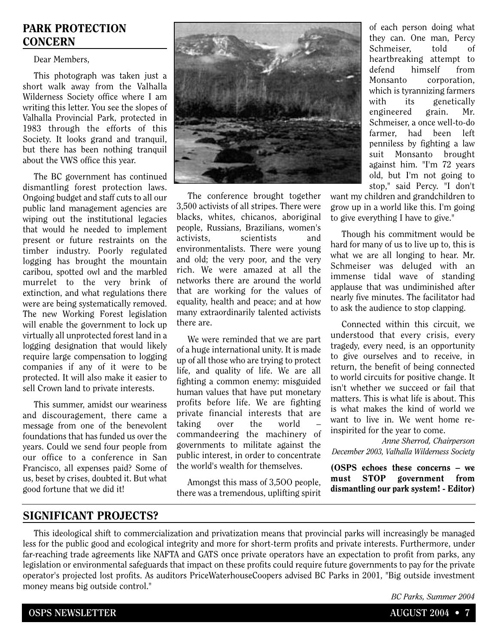## **PARK PROTECTION CONCERN**

Dear Members,

This photograph was taken just a short walk away from the Valhalla Wilderness Society office where I am writing this letter. You see the slopes of Valhalla Provincial Park, protected in 1983 through the efforts of this Society. It looks grand and tranquil, but there has been nothing tranquil about the VWS office this year.

The BC government has continued dismantling forest protection laws. Ongoing budget and staff cuts to all our public land management agencies are wiping out the institutional legacies that would he needed to implement present or future restraints on the timber industry. Poorly regulated logging has brought the mountain caribou, spotted owl and the marbled murrelet to the very brink of extinction, and what regulations there were are being systematically removed. The new Working Forest legislation will enable the government to lock up virtually all unprotected forest land in a logging designation that would likely require large compensation to logging companies if any of it were to be protected. It will also make it easier to sell Crown land to private interests.

This summer, amidst our weariness and discouragement, there came a message from one of the benevolent foundations that has funded us over the years. Could we send four people from our office to a conference in San Francisco, all expenses paid? Some of us, beset by crises, doubted it. But what good fortune that we did it!



The conference brought together 3,500 activists of all stripes. There were blacks, whites, chicanos, aboriginal people, Russians, Brazilians, women's activists, scientists and environmentalists. There were young and old; the very poor, and the very rich. We were amazed at all the networks there are around the world that are working for the values of equality, health and peace; and at how many extraordinarily talented activists there are.

We were reminded that we are part of a huge international unity. It is made up of all those who are trying to protect life, and quality of life. We are all fighting a common enemy: misguided human values that have put monetary profits before life. We are fighting private financial interests that are taking over the world commandeering the machinery of governments to militate against the public interest, in order to concentrate the world's wealth for themselves.

Amongst this mass of 3,5OO people, there was a tremendous, uplifting spirit

of each person doing what they can. One man, Percy Schmeiser, told of heartbreaking attempt to defend himself from Monsanto corporation, which is tyrannizing farmers with its genetically engineered grain. Mr. Schmeiser, a once well-to-do farmer, had been left penniless by fighting a law suit Monsanto brought against him. "I'm 72 years old, but I'm not going to stop," said Percy. "I don't

want my children and grandchildren to grow up in a world like this. I'm going to give everything I have to give."

Though his commitment would be hard for many of us to live up to, this is what we are all longing to hear. Mr. Schmeiser was deluged with an immense tidal wave of standing applause that was undiminished after nearly five minutes. The facilitator had to ask the audience to stop clapping.

Connected within this circuit, we understood that every crisis, every tragedy, every need, is an opportunity to give ourselves and to receive, in return, the benefit of being connected to world circuits for positive change. It isn't whether we succeed or fail that matters. This is what life is about. This is what makes the kind of world we want to live in. We went home reinspirited for the year to come.

*Anne Sherrod, Chairperson December 2003, Valhalla Wilderness Society*

**(OSPS echoes these concerns – we must STOP government from dismantling our park system! - Editor)**

### **SIGNIFICANT PROJECTS?**

This ideological shift to commercialization and privatization means that provincial parks will increasingly be managed less for the public good and ecological integrity and more for short-term profits and private interests. Furthermore, under far-reaching trade agreements like NAFTA and GATS once private operators have an expectation to profit from parks, any legislation or environmental safeguards that impact on these profits could require future governments to pay for the private operator's projected lost profits. As auditors PriceWaterhouseCoopers advised BC Parks in 2001, "Big outside investment money means big outside control."

*BC Parks, Summer 2004*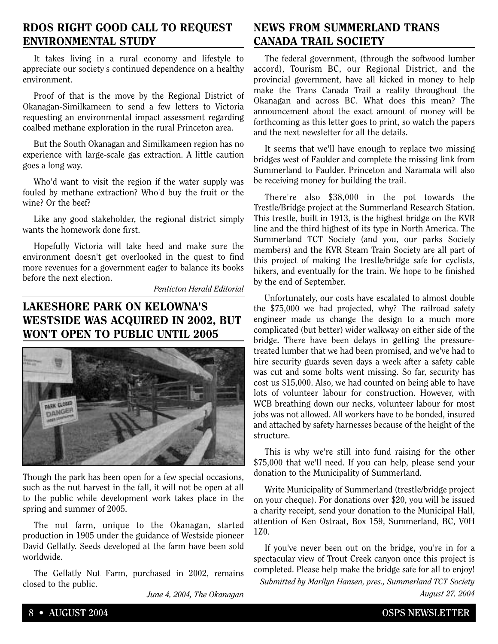## **RDOS RIGHT GOOD CALL TO REQUEST ENVIRONMENTAL STUDY**

It takes living in a rural economy and lifestyle to appreciate our society's continued dependence on a healthy environment.

Proof of that is the move by the Regional District of Okanagan-Similkameen to send a few letters to Victoria requesting an environmental impact assessment regarding coalbed methane exploration in the rural Princeton area.

But the South Okanagan and Similkameen region has no experience with large-scale gas extraction. A little caution goes a long way.

Who'd want to visit the region if the water supply was fouled by methane extraction? Who'd buy the fruit or the wine? Or the beef?

Like any good stakeholder, the regional district simply wants the homework done first.

Hopefully Victoria will take heed and make sure the environment doesn't get overlooked in the quest to find more revenues for a government eager to balance its books before the next election.

*Penticton Herald Editorial*

# **LAKESHORE PARK ON KELOWNA'S WESTSIDE WAS ACQUIRED IN 2002, BUT WON'T OPEN TO PUBLIC UNTIL 2005**



Though the park has been open for a few special occasions, such as the nut harvest in the fall, it will not be open at all to the public while development work takes place in the spring and summer of 2005.

The nut farm, unique to the Okanagan, started production in 1905 under the guidance of Westside pioneer David Gellatly. Seeds developed at the farm have been sold worldwide.

The Gellatly Nut Farm, purchased in 2002, remains closed to the public.

*June 4, 2004, The Okanagan*

# **NEWS FROM SUMMERLAND TRANS CANADA TRAIL SOCIETY**

The federal government, (through the softwood lumber accord), Tourism BC, our Regional District, and the provincial government, have all kicked in money to help make the Trans Canada Trail a reality throughout the Okanagan and across BC. What does this mean? The announcement about the exact amount of money will be forthcoming as this letter goes to print, so watch the papers and the next newsletter for all the details.

It seems that we'll have enough to replace two missing bridges west of Faulder and complete the missing link from Summerland to Faulder. Princeton and Naramata will also be receiving money for building the trail.

There're also \$38,000 in the pot towards the Trestle/Bridge project at the Summerland Research Station. This trestle, built in 1913, is the highest bridge on the KVR line and the third highest of its type in North America. The Summerland TCT Society (and you, our parks Society members) and the KVR Steam Train Society are all part of this project of making the trestle/bridge safe for cyclists, hikers, and eventually for the train. We hope to be finished by the end of September.

Unfortunately, our costs have escalated to almost double the \$75,000 we had projected, why? The railroad safety engineer made us change the design to a much more complicated (but better) wider walkway on either side of the bridge. There have been delays in getting the pressuretreated lumber that we had been promised, and we've had to hire security guards seven days a week after a safety cable was cut and some bolts went missing. So far, security has cost us \$15,000. Also, we had counted on being able to have lots of volunteer labour for construction. However, with WCB breathing down our necks, volunteer labour for most jobs was not allowed. All workers have to be bonded, insured and attached by safety harnesses because of the height of the structure.

This is why we're still into fund raising for the other \$75,000 that we'll need. If you can help, please send your donation to the Municipality of Summerland.

Write Municipality of Summerland (trestle/bridge project on your cheque). For donations over \$20, you will be issued a charity receipt, send your donation to the Municipal Hall, attention of Ken Ostraat, Box 159, Summerland, BC, V0H 1Z0.

If you've never been out on the bridge, you're in for a spectacular view of Trout Creek canyon once this project is completed. Please help make the bridge safe for all to enjoy! *Submitted by Marilyn Hansen, pres., Summerland TCT Society August 27, 2004*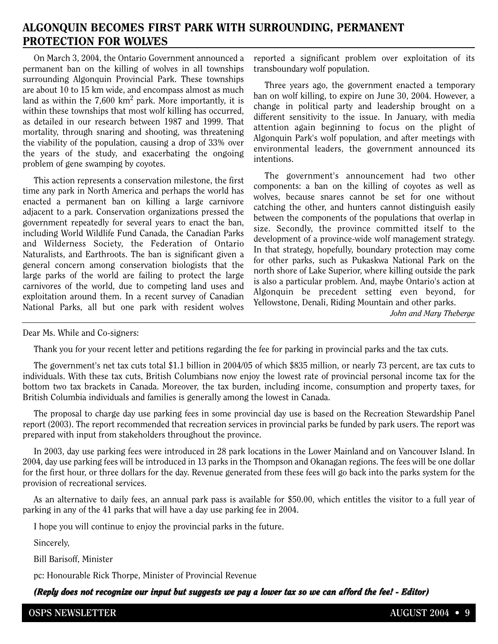## **ALGONQUIN BECOMES FIRST PARK WITH SURROUNDING, PERMANENT PROTECTION FOR WOLVES**

On March 3, 2004, the Ontario Government announced a permanent ban on the killing of wolves in all townships surrounding Algonquin Provincial Park. These townships are about 10 to 15 km wide, and encompass almost as much land as within the  $7.600 \text{ km}^2$  park. More importantly, it is within these townships that most wolf killing has occurred, as detailed in our research between 1987 and 1999. That mortality, through snaring and shooting, was threatening the viability of the population, causing a drop of 33% over the years of the study, and exacerbating the ongoing problem of gene swamping by coyotes.

This action represents a conservation milestone, the first time any park in North America and perhaps the world has enacted a permanent ban on killing a large carnivore adjacent to a park. Conservation organizations pressed the government repeatedly for several years to enact the ban, including World Wildlife Fund Canada, the Canadian Parks and Wilderness Society, the Federation of Ontario Naturalists, and Earthroots. The ban is significant given a general concern among conservation biologists that the large parks of the world are failing to protect the large carnivores of the world, due to competing land uses and exploitation around them. In a recent survey of Canadian National Parks, all but one park with resident wolves

reported a significant problem over exploitation of its transboundary wolf population.

Three years ago, the government enacted a temporary ban on wolf killing, to expire on June 30, 2004. However, a change in political party and leadership brought on a different sensitivity to the issue. In January, with media attention again beginning to focus on the plight of Algonquin Park's wolf population, and after meetings with environmental leaders, the government announced its intentions.

The government's announcement had two other components: a ban on the killing of coyotes as well as wolves, because snares cannot be set for one without catching the other, and hunters cannot distinguish easily between the components of the populations that overlap in size. Secondly, the province committed itself to the development of a province-wide wolf management strategy. In that strategy, hopefully, boundary protection may come for other parks, such as Pukaskwa National Park on the north shore of Lake Superior, where killing outside the park is also a particular problem. And, maybe Ontario's action at Algonquin be precedent setting even beyond, for Yellowstone, Denali, Riding Mountain and other parks.

*John and Mary Theberge*

#### Dear Ms. While and Co-signers:

Thank you for your recent letter and petitions regarding the fee for parking in provincial parks and the tax cuts.

The government's net tax cuts total \$1.1 billion in 2004/05 of which \$835 million, or nearly 73 percent, are tax cuts to individuals. With these tax cuts, British Columbians now enjoy the lowest rate of provincial personal income tax for the bottom two tax brackets in Canada. Moreover, the tax burden, including income, consumption and property taxes, for British Columbia individuals and families is generally among the lowest in Canada.

The proposal to charge day use parking fees in some provincial day use is based on the Recreation Stewardship Panel report (2003). The report recommended that recreation services in provincial parks be funded by park users. The report was prepared with input from stakeholders throughout the province.

In 2003, day use parking fees were introduced in 28 park locations in the Lower Mainland and on Vancouver Island. In 2004, day use parking fees will be introduced in 13 parks in the Thompson and Okanagan regions. The fees will be one dollar for the first hour, or three dollars for the day. Revenue generated from these fees will go back into the parks system for the provision of recreational services.

As an alternative to daily fees, an annual park pass is available for \$50.00, which entitles the visitor to a full year of parking in any of the 41 parks that will have a day use parking fee in 2004.

I hope you will continue to enjoy the provincial parks in the future.

Sincerely,

Bill Barisoff, Minister

pc: Honourable Rick Thorpe, Minister of Provincial Revenue

(Reply does not recognize our input but suggests we pay a lower tax so we can afford the fee! - Editor)